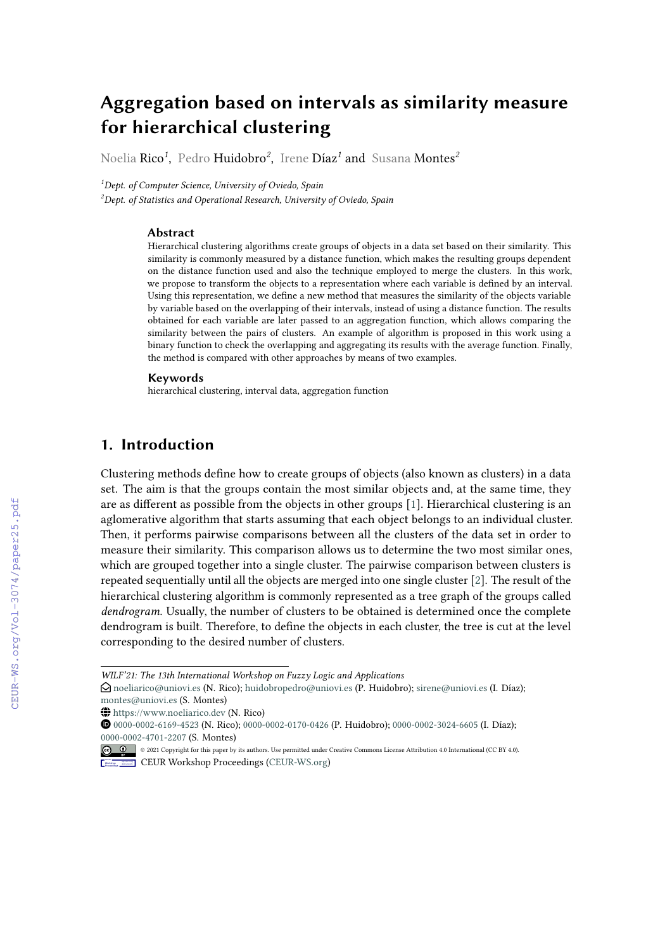# **Aggregation based on intervals as similarity measure for hierarchical clustering**

Noelia Rico*<sup>1</sup>* , Pedro Huidobro*<sup>2</sup>* , Irene Díaz*<sup>1</sup>* and Susana Montes*<sup>2</sup>*

*<sup>1</sup>Dept. of Computer Science, University of Oviedo, Spain*

*<sup>2</sup>Dept. of Statistics and Operational Research, University of Oviedo, Spain*

#### **Abstract**

Hierarchical clustering algorithms create groups of objects in a data set based on their similarity. This similarity is commonly measured by a distance function, which makes the resulting groups dependent on the distance function used and also the technique employed to merge the clusters. In this work, we propose to transform the objects to a representation where each variable is defined by an interval. Using this representation, we define a new method that measures the similarity of the objects variable by variable based on the overlapping of their intervals, instead of using a distance function. The results obtained for each variable are later passed to an aggregation function, which allows comparing the similarity between the pairs of clusters. An example of algorithm is proposed in this work using a binary function to check the overlapping and aggregating its results with the average function. Finally, the method is compared with other approaches by means of two examples.

#### **Keywords**

hierarchical clustering, interval data, aggregation function

### **1. Introduction**

Clustering methods define how to create groups of objects (also known as clusters) in a data set. The aim is that the groups contain the most similar objects and, at the same time, they are as different as possible from the objects in other groups [\[1\]](#page--1-0). Hierarchical clustering is an aglomerative algorithm that starts assuming that each object belongs to an individual cluster. Then, it performs pairwise comparisons between all the clusters of the data set in order to measure their similarity. This comparison allows us to determine the two most similar ones, which are grouped together into a single cluster. The pairwise comparison between clusters is repeated sequentially until all the objects are merged into one single cluster [\[2\]](#page--1-1). The result of the hierarchical clustering algorithm is commonly represented as a tree graph of the groups called *dendrogram*. Usually, the number of clusters to be obtained is determined once the complete dendrogram is built. Therefore, to define the objects in each cluster, the tree is cut at the level corresponding to the desired number of clusters.

*WILF'21: The 13th International Workshop on Fuzzy Logic and Applications*

 $\Theta$  [noeliarico@uniovi.es](mailto:noeliarico@uniovi.es) (N. Rico); [huidobropedro@uniovi.es](mailto:huidobropedro@uniovi.es) (P. Huidobro); [sirene@uniovi.es](mailto:sirene@uniovi.es) (I. Díaz); [montes@uniovi.es](mailto:montes@uniovi.es) (S. Montes)

~ <https://www.noeliarico.dev> (N. Rico)

© 2021 Copyright for this paper by its authors. Use permitted under Creative Commons License Attribution 4.0 International (CC BY 4.0). **CEUR Workshop [Proceedings](http://ceur-ws.org) [\(CEUR-WS.org\)](http://ceur-ws.org)** 

[0000-0002-6169-4523](https://orcid.org/0000-0002-6169-4523) (N. Rico); [0000-0002-0170-0426](https://orcid.org/0000-0002-0170-0426) (P. Huidobro); [0000-0002-3024-6605](https://orcid.org/0000-0002-3024-6605) (I. Díaz); [0000-0002-4701-2207](https://orcid.org/0000-0002-4701-2207) (S. Montes)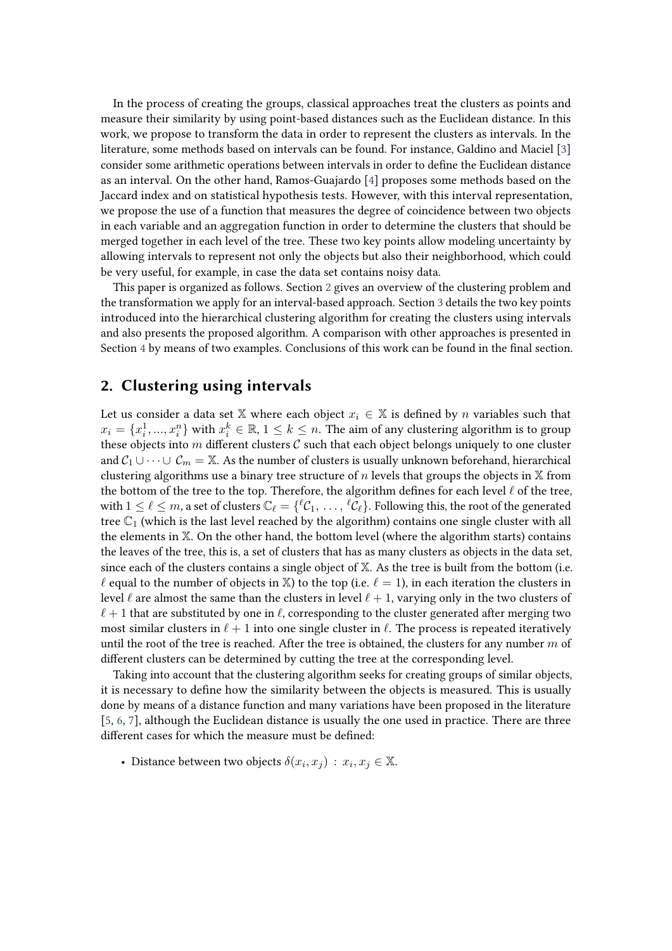In the process of creating the groups, classical approaches treat the clusters as points and measure their similarity by using point-based distances such as the Euclidean distance. In this work, we propose to transform the data in order to represent the clusters as intervals. In the literature, some methods based on intervals can be found. For instance, Galdino and Maciel [\[3\]](#page-8-0) consider some arithmetic operations between intervals in order to define the Euclidean distance as an interval. On the other hand, Ramos-Guajardo [\[4\]](#page-8-1) proposes some methods based on the Jaccard index and on statistical hypothesis tests. However, with this interval representation, we propose the use of a function that measures the degree of coincidence between two objects in each variable and an aggregation function in order to determine the clusters that should be merged together in each level of the tree. These two key points allow modeling uncertainty by allowing intervals to represent not only the objects but also their neighborhood, which could be very useful, for example, in case the data set contains noisy data.

This paper is organized as follows. Section [2](#page-1-0) gives an overview of the clustering problem and the transformation we apply for an interval-based approach. Section [3](#page-3-0) details the two key points introduced into the hierarchical clustering algorithm for creating the clusters using intervals and also presents the proposed algorithm. A comparison with other approaches is presented in Section [4](#page-3-1) by means of two examples. Conclusions of this work can be found in the final section.

### <span id="page-1-0"></span>**2. Clustering using intervals**

Let us consider a data set X where each object  $x_i \in X$  is defined by *n* variables such that  $x_i = \{x_i^1,...,x_i^n\}$  with  $x_i^k \in \mathbb{R}$ ,  $1 \leq k \leq n$ . The aim of any clustering algorithm is to group these objects into  $m$  different clusters  $C$  such that each object belongs uniquely to one cluster and  $C_1 \cup \cdots \cup C_m = \mathbb{X}$ . As the number of clusters is usually unknown beforehand, hierarchical clustering algorithms use a binary tree structure of  $n$  levels that groups the objects in  $X$  from the bottom of the tree to the top. Therefore, the algorithm defines for each level  $\ell$  of the tree, with  $1\leq\ell\leq m,$  a set of clusters  $\mathbb{C}_\ell=\{{}^{\ell}\mathcal{C}_1,\,\ldots,\,{}^{\ell}\mathcal{C}_\ell\}.$  Following this, the root of the generated tree  $\mathbb{C}_1$  (which is the last level reached by the algorithm) contains one single cluster with all the elements in X. On the other hand, the bottom level (where the algorithm starts) contains the leaves of the tree, this is, a set of clusters that has as many clusters as objects in the data set, since each of the clusters contains a single object of  $X$ . As the tree is built from the bottom (i.e.  $\ell$  equal to the number of objects in X) to the top (i.e.  $\ell = 1$ ), in each iteration the clusters in level  $\ell$  are almost the same than the clusters in level  $\ell + 1$ , varying only in the two clusters of  $\ell+1$  that are substituted by one in  $\ell$ , corresponding to the cluster generated after merging two most similar clusters in  $\ell + 1$  into one single cluster in  $\ell$ . The process is repeated iteratively until the root of the tree is reached. After the tree is obtained, the clusters for any number  $m$  of different clusters can be determined by cutting the tree at the corresponding level.

Taking into account that the clustering algorithm seeks for creating groups of similar objects, it is necessary to define how the similarity between the objects is measured. This is usually done by means of a distance function and many variations have been proposed in the literature [\[5,](#page-8-2) [6,](#page-8-3) [7\]](#page-8-4), although the Euclidean distance is usually the one used in practice. There are three different cases for which the measure must be defined:

• Distance between two objects  $\delta(x_i, x_j) : x_i, x_j \in \mathbb{X}$ .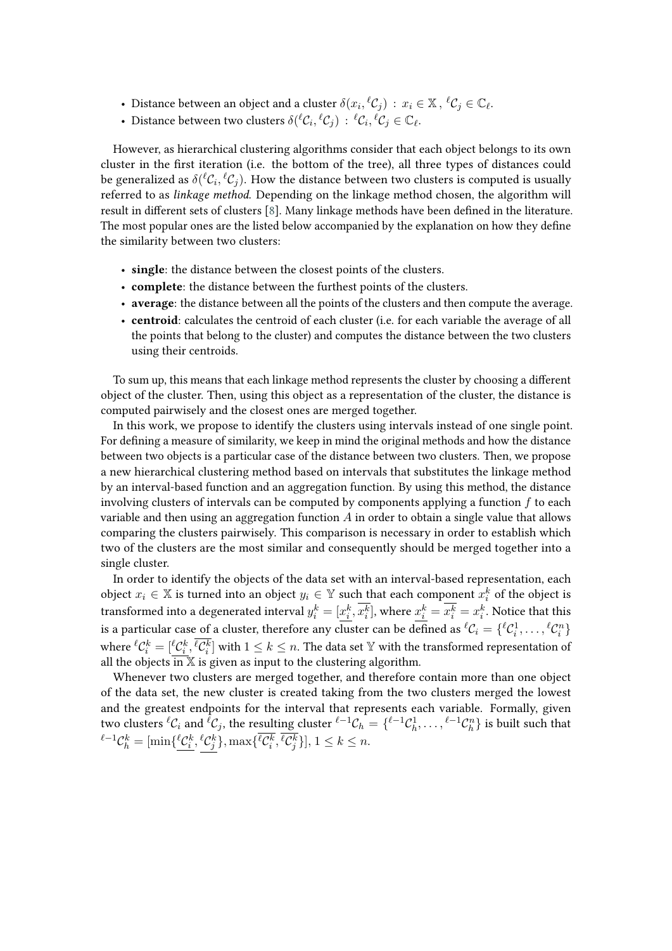- Distance between an object and a cluster  $\delta(x_i, {}^{\ell} {\mathcal C}_j) \, : \, x_i \in {\mathbb X} \, , \, {}^{\ell} {\mathcal C}_j \in {\mathbb C}_{\ell}.$
- Distance between two clusters  $\delta({}^{\ell}\mathcal{C}_i, {}^{\ell}\mathcal{C}_j)$  :  ${}^{\ell}\mathcal{C}_i, {}^{\ell}\mathcal{C}_j \in \mathbb{C}_{\ell}$ .

However, as hierarchical clustering algorithms consider that each object belongs to its own cluster in the first iteration (i.e. the bottom of the tree), all three types of distances could be generalized as  $\delta({}^{\ell}\mathcal{C}_i, {}^{\ell}\mathcal{C}_j).$  How the distance between two clusters is computed is usually referred to as *linkage method*. Depending on the linkage method chosen, the algorithm will result in different sets of clusters [\[8\]](#page-8-5). Many linkage methods have been defined in the literature. The most popular ones are the listed below accompanied by the explanation on how they define the similarity between two clusters:

- **single**: the distance between the closest points of the clusters.
- **complete**: the distance between the furthest points of the clusters.
- **average**: the distance between all the points of the clusters and then compute the average.
- **centroid**: calculates the centroid of each cluster (i.e. for each variable the average of all the points that belong to the cluster) and computes the distance between the two clusters using their centroids.

To sum up, this means that each linkage method represents the cluster by choosing a different object of the cluster. Then, using this object as a representation of the cluster, the distance is computed pairwisely and the closest ones are merged together.

In this work, we propose to identify the clusters using intervals instead of one single point. For defining a measure of similarity, we keep in mind the original methods and how the distance between two objects is a particular case of the distance between two clusters. Then, we propose a new hierarchical clustering method based on intervals that substitutes the linkage method by an interval-based function and an aggregation function. By using this method, the distance involving clusters of intervals can be computed by components applying a function  $f$  to each variable and then using an aggregation function  $A$  in order to obtain a single value that allows comparing the clusters pairwisely. This comparison is necessary in order to establish which two of the clusters are the most similar and consequently should be merged together into a single cluster.

In order to identify the objects of the data set with an interval-based representation, each object  $x_i \in \mathbb{X}$  is turned into an object  $y_i \in \mathbb{Y}$  such that each component  $x_i^k$  of the object is transformed into a degenerated interval  $y_i^k=[\underline{x_i^k},x_i^k],$  where  $\underline{x_i^k}=x_i^k=x_i^k.$  Notice that this is a particular case of a cluster, therefore any cluster can be defined as  ${}^{\ell} \mathcal{C}_i = \{{}^{\ell} \mathcal{C}^1_i,\ldots,{}^{\ell} \mathcal{C}^n_i\}$ where  ${}^{\ell} \mathcal{C}_i^k = [\frac{\ell}{{\cal C}_i^k}, \overline{\ell}{{\cal C}_i^k}]$  with  $1\leq k\leq n.$  The data set  $\mathbb {Y}$  with the transformed representation of all the objects  $\overline{\text{in }X}$  is given as input to the clustering algorithm.

Whenever two clusters are merged together, and therefore contain more than one object of the data set, the new cluster is created taking from the two clusters merged the lowest and the greatest endpoints for the interval that represents each variable. Formally, given two clusters  ${}^{\ell} \mathcal{C}_i$  and  ${}^{\ell} \mathcal{C}_j$ , the resulting cluster  ${}^{\ell-1} \mathcal{C}_h = \{{}^{\ell-1} \mathcal{C}_h^1, \ldots, {}^{\ell-1} \mathcal{C}_h^n\}$  is built such that  ${}^{\ell-1}\mathcal{C}_h^k=[\min\{\frac{\ell\mathcal{C}_i^k}{2},\frac{\ell\mathcal{C}_j^k}{2}\},\max\{\frac{\ell\mathcal{C}_i^k}{2},\frac{\ell\mathcal{C}_j^k}{2}\}], 1\leq k\leq n.$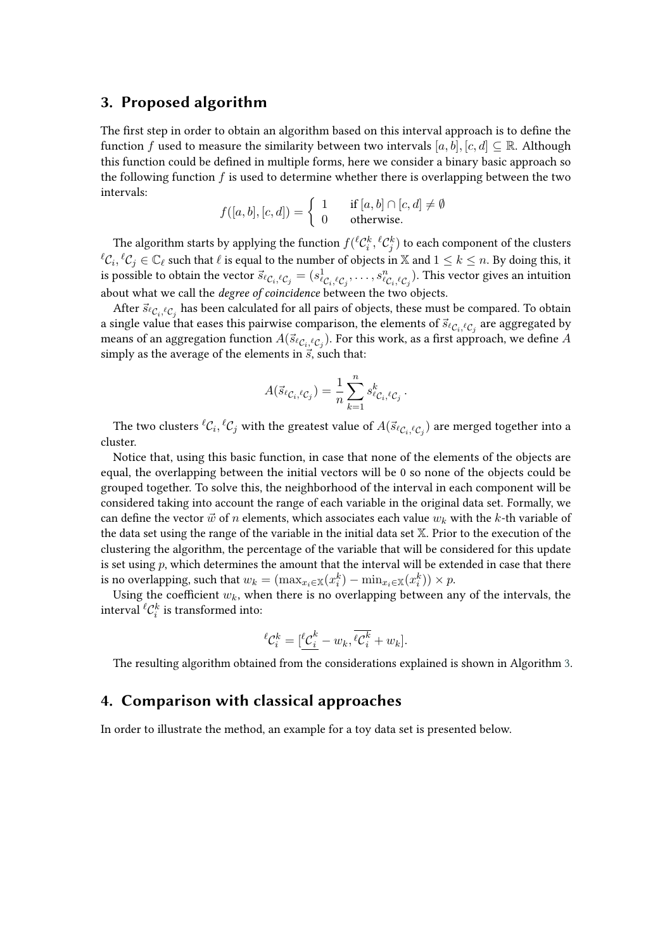#### <span id="page-3-0"></span>**3. Proposed algorithm**

The first step in order to obtain an algorithm based on this interval approach is to define the function f used to measure the similarity between two intervals  $[a, b]$ ,  $[c, d] \subseteq \mathbb{R}$ . Although this function could be defined in multiple forms, here we consider a binary basic approach so the following function  $f$  is used to determine whether there is overlapping between the two intervals:

$$
f([a, b], [c, d]) = \begin{cases} 1 & \text{if } [a, b] \cap [c, d] \neq \emptyset \\ 0 & \text{otherwise.} \end{cases}
$$

The algorithm starts by applying the function  $f({}^{\ell} \mathcal{C}_i^k, {}^{\ell} \mathcal{C}_j^k)$  to each component of the clusters  $^{\ell} \mathcal{C}_i, ^{\ell} \mathcal{C}_j \in \mathbb{C}_\ell$  such that  $\ell$  is equal to the number of objects in  $\mathbb X$  and  $1 \leq k \leq n.$  By doing this, it is possible to obtain the vector  $\vec{s}_{\ell\mathcal{C}_i,\ell\mathcal{C}_j}=(s^1_{\ell\mathcal{C}_i,\ell\mathcal{C}_j},\ldots,s^n_{\ell\mathcal{C}_i,\ell\mathcal{C}_j}).$  This vector gives an intuition about what we call the *degree of coincidence* between the two objects.

After  $\vec{s}_{\ell \mathcal{C}_i, \ell \mathcal{C}_j}$  has been calculated for all pairs of objects, these must be compared. To obtain a single value that eases this pairwise comparison, the elements of  $\vec{s}_{\ell_{\mathcal{C}_i},\ell_{\mathcal{C}_j}}$  are aggregated by means of an aggregation function  $A(\vec{s}_{\ell \mathcal{C}_i,{}^{\ell} \mathcal{C}_j}).$  For this work, as a first approach, we define  $A$ simply as the average of the elements in  $\vec{s}$ , such that:

$$
A(\vec{s}_{\ell\mathcal{C}_i,\ell\mathcal{C}_j})=\frac{1}{n}\sum_{k=1}^n s_{\ell\mathcal{C}_i,\ell\mathcal{C}_j}^k.
$$

The two clusters  ${}^{\ell}\mathcal{C}_i, {}^{\ell}\mathcal{C}_j$  with the greatest value of  $A(\vec{s}_{\ell}\mathcal{C}_i, {}^{\ell}\mathcal{C}_j)$  are merged together into a cluster.

Notice that, using this basic function, in case that none of the elements of the objects are equal, the overlapping between the initial vectors will be 0 so none of the objects could be grouped together. To solve this, the neighborhood of the interval in each component will be considered taking into account the range of each variable in the original data set. Formally, we can define the vector  $\vec{w}$  of n elements, which associates each value  $w_k$  with the k-th variable of the data set using the range of the variable in the initial data set X. Prior to the execution of the clustering the algorithm, the percentage of the variable that will be considered for this update is set using  $p$ , which determines the amount that the interval will be extended in case that there is no overlapping, such that  $w_k = (\max_{x_i \in \mathbb{X}} (x_i^k) - \min_{x_i \in \mathbb{X}} (x_i^k)) \times p$ .

Using the coefficient  $w_k$ , when there is no overlapping between any of the intervals, the interval  ${}^{\ell} \mathcal{C}^k_i$  is transformed into:

$$
{}^{\ell} \mathcal{C}_i^k = [\frac{\ell \mathcal{C}_i^k}{\ell} - w_k, \overline{\ell \mathcal{C}_i^k} + w_k].
$$

The resulting algorithm obtained from the considerations explained is shown in Algorithm [3.](#page-3-0)

### <span id="page-3-1"></span>**4. Comparison with classical approaches**

In order to illustrate the method, an example for a toy data set is presented below.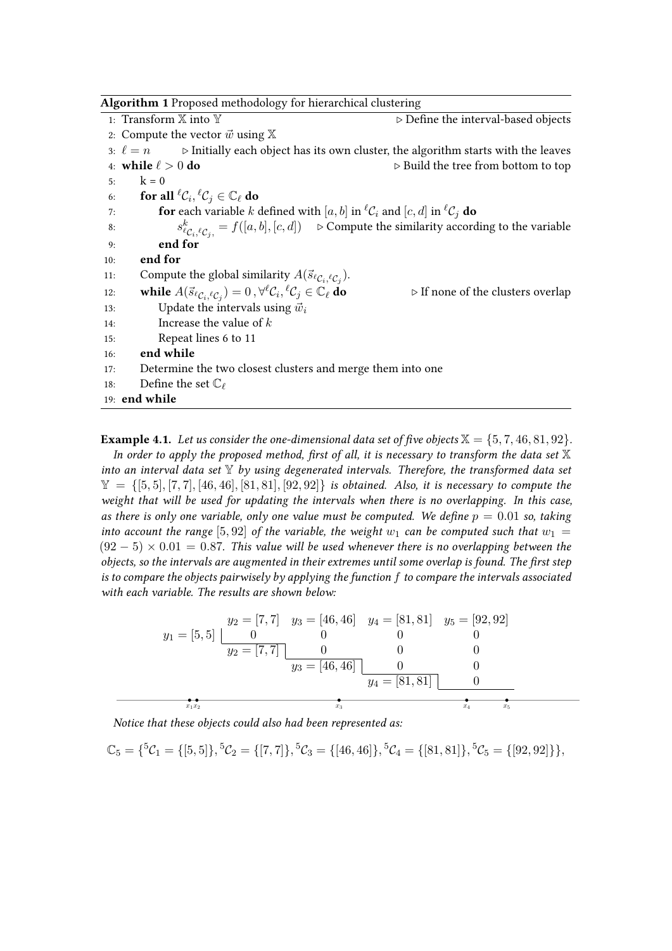|     | <b>Algorithm 1</b> Proposed methodology for hierarchical clustering                                                                         |                                                                                                                                 |
|-----|---------------------------------------------------------------------------------------------------------------------------------------------|---------------------------------------------------------------------------------------------------------------------------------|
|     | 1: Transform $\mathbb X$ into $\mathbb Y$                                                                                                   | $\triangleright$ Define the interval-based objects                                                                              |
|     | 2: Compute the vector $\vec{w}$ using $\mathbb{X}$                                                                                          |                                                                                                                                 |
|     |                                                                                                                                             | 3: $\ell = n$ $\triangleright$ Initially each object has its own cluster, the algorithm starts with the leaves                  |
|     | 4: while $\ell > 0$ do                                                                                                                      | $\triangleright$ Build the tree from bottom to top                                                                              |
| 5:  | $k = 0$                                                                                                                                     |                                                                                                                                 |
| 6:  | for all ${}^{\ell}C_i, {}^{\ell}C_j \in \mathbb{C}_{\ell}$ do                                                                               |                                                                                                                                 |
| 7:  |                                                                                                                                             | <b>for</b> each variable k defined with [a, b] in ${}^{\ell}C_i$ and [c, d] in ${}^{\ell}C_j$ <b>do</b>                         |
| 8:  |                                                                                                                                             | $s_{\ell_{\mathcal{C}_i},\ell_{\mathcal{C}_i}}^k = f([a,b],[c,d]) \Rightarrow$ Compute the similarity according to the variable |
| 9:  | end for                                                                                                                                     |                                                                                                                                 |
| 10: | end for                                                                                                                                     |                                                                                                                                 |
| 11: | Compute the global similarity $A(\vec{s}_{\ell_{\mathcal{C}_i},\ell_{\mathcal{C}_j}})$ .                                                    |                                                                                                                                 |
| 12: | while $A(\vec{s}_{\ell\mathcal{C}_i,\ell\mathcal{C}_i})=0$ , $\forall^{\ell}\mathcal{C}_i, {^{\ell}\mathcal{C}_j} \in \mathbb{C}_{\ell}$ do | $\triangleright$ If none of the clusters overlap                                                                                |
| 13: | Update the intervals using $\vec{w}_i$                                                                                                      |                                                                                                                                 |
| 14: | Increase the value of $k$                                                                                                                   |                                                                                                                                 |
| 15: | Repeat lines 6 to 11                                                                                                                        |                                                                                                                                 |
| 16: | end while                                                                                                                                   |                                                                                                                                 |
| 17: | Determine the two closest clusters and merge them into one                                                                                  |                                                                                                                                 |
| 18: | Define the set $\mathbb{C}_{\ell}$                                                                                                          |                                                                                                                                 |
|     | 19: end while                                                                                                                               |                                                                                                                                 |

**Example 4.1.** Let us consider the one-dimensional data set of five objects  $\mathbb{X} = \{5, 7, 46, 81, 92\}$ . *In order to apply the proposed method, first of all, it is necessary to transform the data set* X *into an interval data set* Y *by using degenerated intervals. Therefore, the transformed data set*  $\mathbb{Y} = \{ [5, 5], [7, 7], [46, 46], [81, 81], [92, 92] \}$  *is obtained. Also, it is necessary to compute the weight that will be used for updating the intervals when there is no overlapping. In this case, as there is only one variable, only one value must be computed. We define*  $p = 0.01$  *so, taking into account the range* [5,92] *of the variable, the weight*  $w_1$  *can be computed such that*  $w_1$  =  $(92 - 5) \times 0.01 = 0.87$ . This value will be used whenever there is no overlapping between the *objects, so the intervals are augmented in their extremes until some overlap is found. The first step is to compare the objects pairwisely by applying the function to compare the intervals associated with each variable. The results are shown below:*

$$
y_1 = [5, 5] \underbrace{\begin{bmatrix} y_2 = [7, 7] & y_3 = [46, 46] & y_4 = [81, 81] & y_5 = [92, 92] \\ 0 & 0 & 0 & 0 \\ y_2 = [7, 7] & 0 & 0 & 0 \\ y_3 = [46, 46] & 0 & 0 \\ y_4 = [81, 81] & 0 \end{bmatrix}
$$

*Notice that these objects could also had been represented as:*

 $\mathbb{C}_5 = \{5\mathcal{C}_1 = \{[5, 5]\}, \, 5\mathcal{C}_2 = \{[7, 7]\}, \, 5\mathcal{C}_3 = \{[46, 46]\}, \, 5\mathcal{C}_4 = \{[81, 81]\}, \, 5\mathcal{C}_5 = \{[92, 92]\}\},$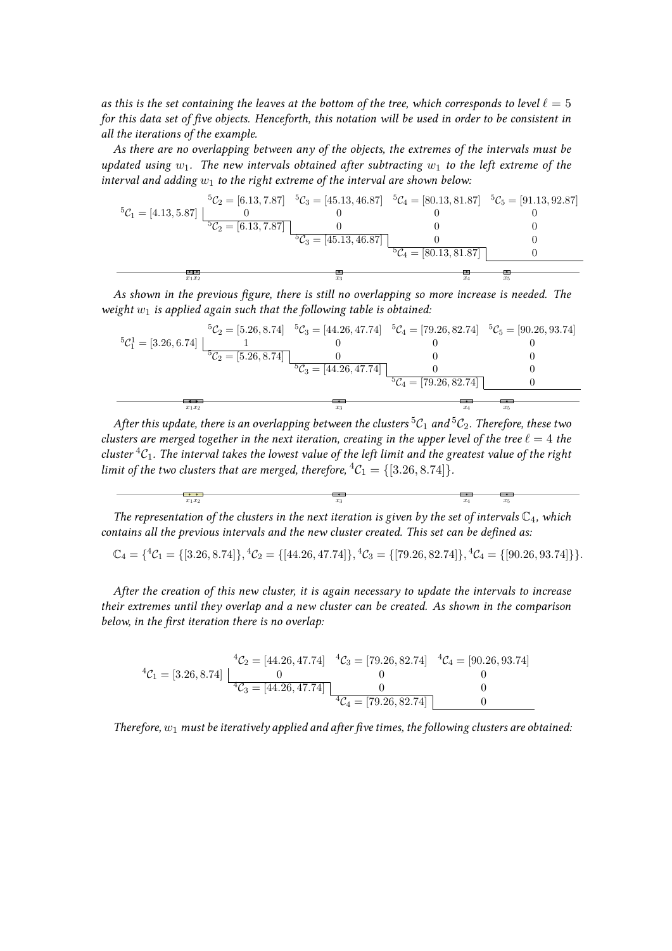*as this is the set containing the leaves at the bottom of the tree, which corresponds to level*  $\ell = 5$ *for this data set of five objects. Henceforth, this notation will be used in order to be consistent in all the iterations of the example.*

*As there are no overlapping between any of the objects, the extremes of the intervals must be updated using*  $w_1$ . The new intervals obtained after subtracting  $w_1$  to the left extreme of the *interval and adding*  $w_1$  to the right extreme of the interval are shown below:

$$
{}^{5}C_{1} = [4.13, 5.87] \begin{bmatrix} {}^{5}C_{2} = [6.13, 7.87] & {}^{5}C_{3} = [45.13, 46.87] & {}^{5}C_{4} = [80.13, 81.87] & {}^{5}C_{5} = [91.13, 92.87] \\ 0 & 0 & 0 & 0 \\ {}^{5}C_{2} = [6.13, 7.87] & 0 & 0 & 0 \\ {}^{5}C_{3} = [45.13, 46.87] & 0 & 0 \\ {}^{5}C_{4} = [80.13, 81.87] & 0 \end{bmatrix}
$$

*As shown in the previous figure, there is still no overlapping so more increase is needed. The weight*  $w_1$  *is applied again such that the following table is obtained:* 



*After this update, there is an overlapping between the clusters*  ${}^5C_1$  *and*  ${}^5C_2$ *. Therefore, these two clusters are merged together in the next iteration, creating in the upper level of the tree*  $\ell = 4$  *the cluster*  ${}^4C_1$ *. The interval takes the lowest value of the left limit and the greatest value of the right limit of the two clusters that are merged, therefore,*  ${}^4C_1 = \{ [3.26, 8.74] \}.$ 

$$
\begin{array}{c|cc}\n\hline\n\bullet & x_1x_2 & x_3 & x_4 & x_5\n\end{array}
$$

*The representation of the clusters in the next iteration is given by the set of intervals*  $\mathbb{C}_4$ *, which contains all the previous intervals and the new cluster created. This set can be defined as:*

 $\mathbb{C}_4 = \{^4\mathcal{C}_1 = \{[3.26, 8.74]\}, ^4\mathcal{C}_2 = \{[44.26, 47.74]\}, ^4\mathcal{C}_3 = \{[79.26, 82.74]\}, ^4\mathcal{C}_4 = \{[90.26, 93.74]\}\}.$ 

*After the creation of this new cluster, it is again necessary to update the intervals to increase their extremes until they overlap and a new cluster can be created. As shown in the comparison below, in the first iteration there is no overlap:*

$$
{}^{4}C_{1} = [3.26, 8.74] \begin{bmatrix} {}^{4}C_{2} = [44.26, 47.74] & {}^{4}C_{3} = [79.26, 82.74] & {}^{4}C_{4} = [90.26, 93.74] \\ 0 & 0 & 0 \\ {}^{4}C_{3} = [44.26, 47.74] & 0 & 0 \\ {}^{4}C_{4} = [79.26, 82.74] & 0 \end{bmatrix}
$$

*Therefore,*  $w_1$  *must be iteratively applied and after five times, the following clusters are obtained:*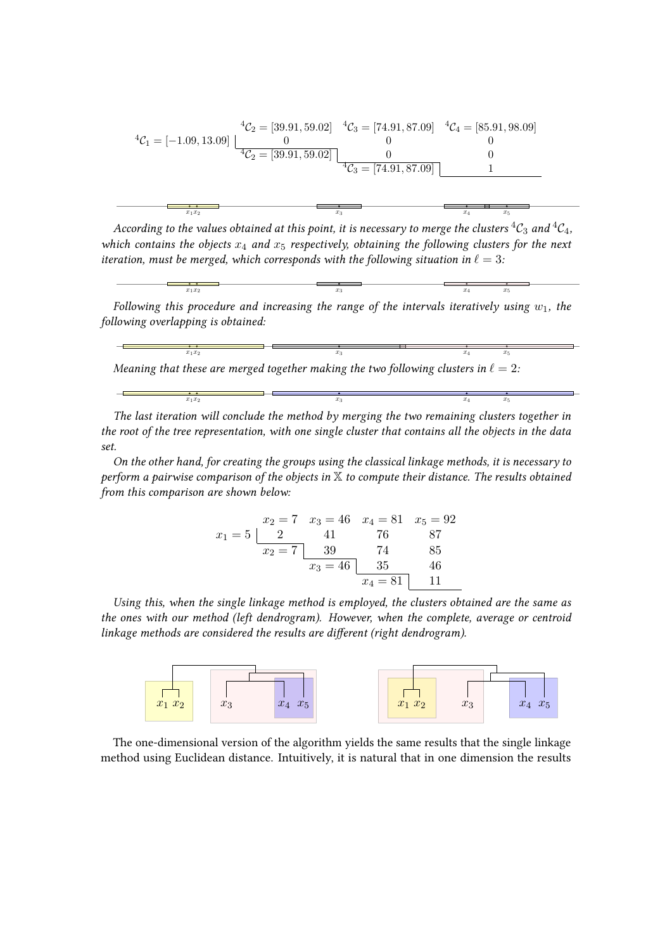$$
{}^{4}C_{1} = [-1.09, 13.09] \begin{bmatrix} {}^{4}C_{2} = [39.91, 59.02] & {}^{4}C_{3} = [74.91, 87.09] & {}^{4}C_{4} = [85.91, 98.09] \\ 0 & 0 & 0 \\ {}^{4}C_{2} = [39.91, 59.02] & 0 & 0 \\ {}^{4}C_{3} = [74.91, 87.09] & 1 \end{bmatrix}
$$

*According to the values obtained at this point, it is necessary to merge the clusters*  ${}^4C_3$  *and*  ${}^4C_4$ *, which contains the objects*  $x_4$  *and*  $x_5$  *respectively, obtaining the following clusters for the next iteration, must be merged, which corresponds with the following situation in*  $\ell = 3$ *:* 

Following this procedure and increasing the range of the intervals iteratively using 
$$
w_1
$$
, the following overlapping is obtained:

 $x_1x_2$   $x_3$   $x_4$   $x_5$ 

$$
\begin{array}{ccc}\n\overbrace{\phantom{0}}^{x_1x_2} & \overbrace{\phantom{0}}^{x_3} & \overbrace{\phantom{0}}^{x_4} & \overbrace{\phantom{0}}^{x_5} \\
\text{Meaning that these are merged together making the two following clusters in } \ell = 2.\n\end{array}
$$

*The last iteration will conclude the method by merging the two remaining clusters together in the root of the tree representation, with one single cluster that contains all the objects in the data set.*

 $x_1x_2$   $x_3$   $x_4$   $x_5$ 

*On the other hand, for creating the groups using the classical linkage methods, it is necessary to perform a pairwise comparison of the objects in* X *to compute their distance. The results obtained from this comparison are shown below:*

$$
x_1 = 5 \begin{array}{c|cc} x_2 = 7 & x_3 = 46 & x_4 = 81 & x_5 = 92 \\ \hline 2 & 41 & 76 & 87 \\ \hline x_2 = 7 & 39 & 74 & 85 \\ \hline x_3 = 46 & 35 & 46 \\ \hline x_4 = 81 & 11 & 1 \end{array}
$$

*Using this, when the single linkage method is employed, the clusters obtained are the same as the ones with our method (left dendrogram). However, when the complete, average or centroid linkage methods are considered the results are different (right dendrogram).*



The one-dimensional version of the algorithm yields the same results that the single linkage method using Euclidean distance. Intuitively, it is natural that in one dimension the results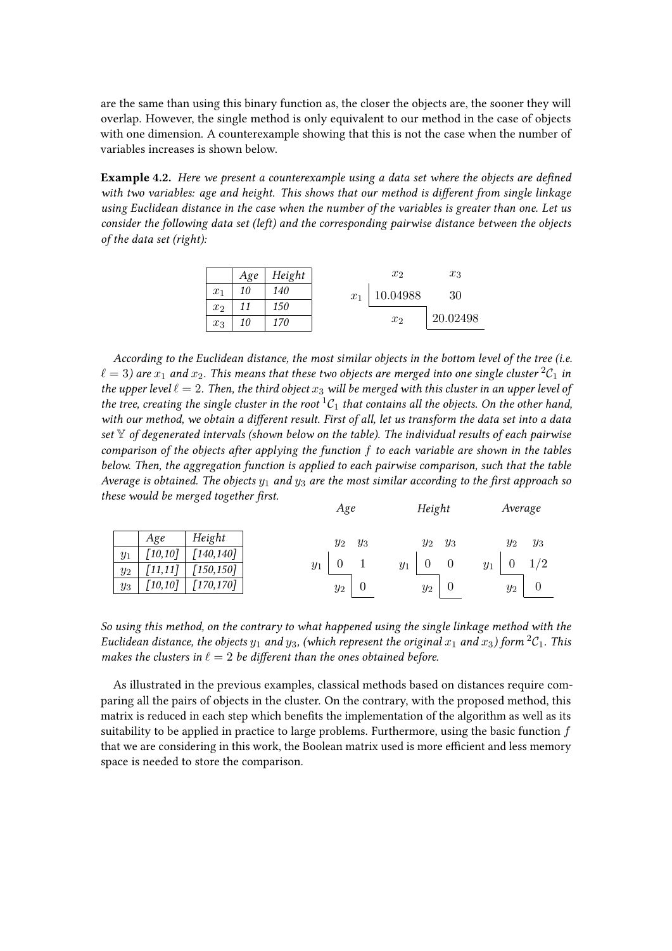are the same than using this binary function as, the closer the objects are, the sooner they will overlap. However, the single method is only equivalent to our method in the case of objects with one dimension. A counterexample showing that this is not the case when the number of variables increases is shown below.

**Example 4.2.** *Here we present a counterexample using a data set where the objects are defined with two variables: age and height. This shows that our method is different from single linkage using Euclidean distance in the case when the number of the variables is greater than one. Let us consider the following data set (left) and the corresponding pairwise distance between the objects of the data set (right):*



*According to the Euclidean distance, the most similar objects in the bottom level of the tree (i.e.*  $\ell = 3$ ) are  $x_1$  and  $x_2$ . This means that these two objects are merged into one single cluster  ${}^2C_1$  in *the upper level*  $\ell = 2$ . Then, the third object  $x_3$  will be merged with this cluster in an upper level of *the tree, creating the single cluster in the root*  ${}^1C_1$  *that contains all the objects. On the other hand, with our method, we obtain a different result. First of all, let us transform the data set into a data set* Y *of degenerated intervals (shown below on the table). The individual results of each pairwise comparison of the objects after applying the function to each variable are shown in the tables below. Then, the aggregation function is applied to each pairwise comparison, such that the table Average is obtained. The objects*  $y_1$  *and*  $y_3$  *are the most similar according to the first approach so these would be merged together first. Age Height*

|         |                        |            |       | Age   |       |       | Height |       |       | Average |       |
|---------|------------------------|------------|-------|-------|-------|-------|--------|-------|-------|---------|-------|
|         | Age                    | Height     |       | $y_2$ | $y_3$ |       | $y_2$  | $y_3$ |       | $y_2$   | $y_3$ |
| $y_1$   | [10, 10]               | [140, 140] |       |       |       |       |        |       |       |         |       |
| $y_2\,$ | 11, 11                 | [150, 150] | $y_1$ |       |       | $y_1$ |        |       | $y_1$ |         | 1/2   |
| $y_3$   | $\lceil 10, 10 \rceil$ | [170, 170] |       | $y_2$ |       |       | $y_2$  | U     |       | $y_2$   |       |

*So using this method, on the contrary to what happened using the single linkage method with the Euclidean distance, the objects*  $y_1$  *and*  $y_3$ , *(which represent the original*  $x_1$  *and*  $x_3$ *) form*  ${}^2C_1$ *. This makes the clusters in*  $\ell = 2$  *be different than the ones obtained before.* 

As illustrated in the previous examples, classical methods based on distances require comparing all the pairs of objects in the cluster. On the contrary, with the proposed method, this matrix is reduced in each step which benefits the implementation of the algorithm as well as its suitability to be applied in practice to large problems. Furthermore, using the basic function  $f$ that we are considering in this work, the Boolean matrix used is more efficient and less memory space is needed to store the comparison.